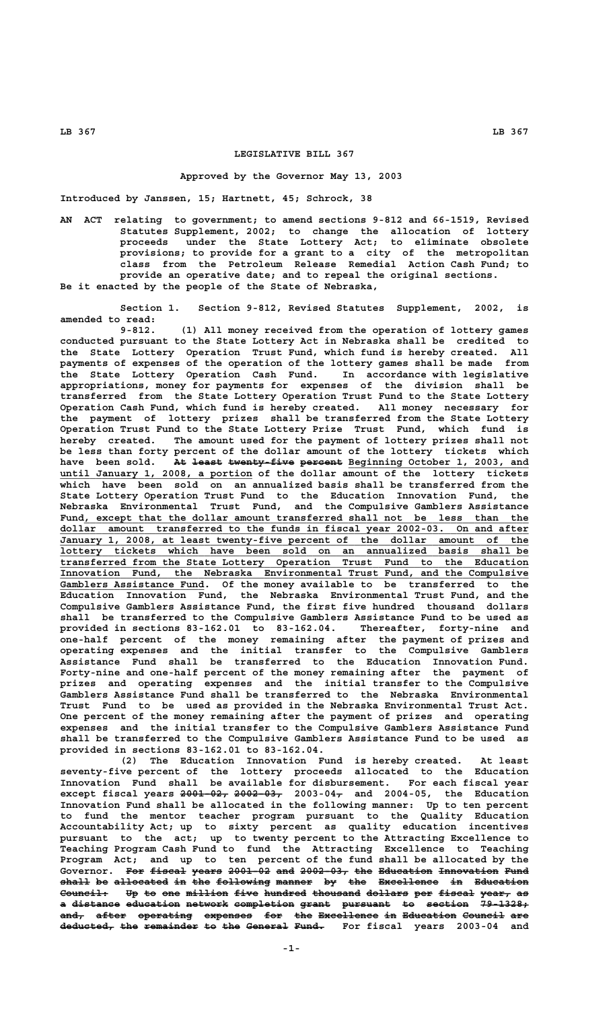## **LEGISLATIVE BILL 367**

## **Approved by the Governor May 13, 2003**

**Introduced by Janssen, 15; Hartnett, 45; Schrock, 38**

**AN ACT relating to government; to amend sections 9-812 and 66-1519, Revised Statutes Supplement, 2002; to change the allocation of lottery proceeds under the State Lottery Act; to eliminate obsolete provisions; to provide for a grant to a city of the metropolitan class from the Petroleum Release Remedial Action Cash Fund; to provide an operative date; and to repeal the original sections. Be it enacted by the people of the State of Nebraska,**

**Section 1. Section 9-812, Revised Statutes Supplement, 2002, is amended to read:**

**9-812. (1) All money received from the operation of lottery games conducted pursuant to the State Lottery Act in Nebraska shall be credited to the State Lottery Operation Trust Fund, which fund is hereby created. All payments of expenses of the operation of the lottery games shall be made from the State Lottery Operation Cash Fund. In accordance with legislative appropriations, money for payments for expenses of the division shall be transferred from the State Lottery Operation Trust Fund to the State Lottery Operation Cash Fund, which fund is hereby created. All money necessary for the payment of lottery prizes shall be transferred from the State Lottery Operation Trust Fund to the State Lottery Prize Trust Fund, which fund is hereby created. The amount used for the payment of lottery prizes shall not be less than forty percent of the dollar amount of the lottery tickets which** have been sold. At least twenty five percent Beginning October 1, 2003, and  **\_\_\_\_\_\_\_\_\_\_\_\_\_\_\_\_\_\_\_\_\_\_\_\_\_\_\_\_\_\_\_\_ until January 1, 2008, a portion of the dollar amount of the lottery tickets which have been sold on an annualized basis shall be transferred from the State Lottery Operation Trust Fund to the Education Innovation Fund, the Nebraska Environmental Trust Fund, and the Compulsive Gamblers Assistance \_\_\_\_\_\_\_\_\_\_\_\_\_\_\_\_\_\_\_\_\_\_\_\_\_\_\_\_\_\_\_\_\_\_\_\_\_\_\_\_\_\_\_\_\_\_\_\_\_\_\_\_\_\_\_\_\_\_\_\_\_\_\_\_\_\_\_\_\_\_\_\_\_\_ Fund, except that the dollar amount transferred shall not be less than the \_\_\_\_\_\_\_\_\_\_\_\_\_\_\_\_\_\_\_\_\_\_\_\_\_\_\_\_\_\_\_\_\_\_\_\_\_\_\_\_\_\_\_\_\_\_\_\_\_\_\_\_\_\_\_\_\_\_\_\_\_\_\_\_\_\_\_\_\_\_\_\_\_\_\_\_\_\_ dollar amount transferred to the funds in fiscal year 2002-03. On and after \_\_\_\_\_\_\_\_\_\_\_\_\_\_\_\_\_\_\_\_\_\_\_\_\_\_\_\_\_\_\_\_\_\_\_\_\_\_\_\_\_\_\_\_\_\_\_\_\_\_\_\_\_\_\_\_\_\_\_\_\_\_\_\_\_\_\_\_\_\_\_\_\_\_\_\_\_\_ January 1, 2008, at least twenty-five percent of the dollar amount of the \_\_\_\_\_\_\_\_\_\_\_\_\_\_\_\_\_\_\_\_\_\_\_\_\_\_\_\_\_\_\_\_\_\_\_\_\_\_\_\_\_\_\_\_\_\_\_\_\_\_\_\_\_\_\_\_\_\_\_\_\_\_\_\_\_\_\_\_\_\_\_\_\_\_\_\_\_\_ lottery tickets which have been sold on an annualized basis shall be \_\_\_\_\_\_\_\_\_\_\_\_\_\_\_\_\_\_\_\_\_\_\_\_\_\_\_\_\_\_\_\_\_\_\_\_\_\_\_\_\_\_\_\_\_\_\_\_\_\_\_\_\_\_\_\_\_\_\_\_\_\_\_\_\_\_\_\_\_\_\_\_\_\_\_\_\_\_ transferred from the State Lottery Operation Trust Fund to the Education \_\_\_\_\_\_\_\_\_\_\_\_\_\_\_\_\_\_\_\_\_\_\_\_\_\_\_\_\_\_\_\_\_\_\_\_\_\_\_\_\_\_\_\_\_\_\_\_\_\_\_\_\_\_\_\_\_\_\_\_\_\_\_\_\_\_\_\_\_\_\_\_\_\_\_\_\_\_ Innovation Fund, the Nebraska Environmental Trust Fund, and the Compulsive \_\_\_\_\_\_\_\_\_\_\_\_\_\_\_\_\_\_\_\_\_\_\_\_ Gamblers Assistance Fund. Of the money available to be transferred to the Education Innovation Fund, the Nebraska Environmental Trust Fund, and the Compulsive Gamblers Assistance Fund, the first five hundred thousand dollars shall be transferred to the Compulsive Gamblers Assistance Fund to be used as provided in sections 83-162.01 to 83-162.04. Thereafter, forty-nine and one-half percent of the money remaining after the payment of prizes and operating expenses and the initial transfer to the Compulsive Gamblers Assistance Fund shall be transferred to the Education Innovation Fund. Forty-nine and one-half percent of the money remaining after the payment of prizes and operating expenses and the initial transfer to the Compulsive Gamblers Assistance Fund shall be transferred to the Nebraska Environmental Trust Fund to be used as provided in the Nebraska Environmental Trust Act. One percent of the money remaining after the payment of prizes and operating expenses and the initial transfer to the Compulsive Gamblers Assistance Fund shall be transferred to the Compulsive Gamblers Assistance Fund to be used as provided in sections 83-162.01 to 83-162.04.**

> **(2) The Education Innovation Fund is hereby created. At least seventy-five percent of the lottery proceeds allocated to the Education Innovation Fund shall be available for disbursement. For each fiscal year ———————— ———————— — except fiscal years 2001-02, 2002-03, 2003-04, and 2004-05, the Education Innovation Fund shall be allocated in the following manner: Up to ten percent to fund the mentor teacher program pursuant to the Quality Education Accountability Act; up to sixty percent as quality education incentives pursuant to the act; up to twenty percent to the Attracting Excellence to Teaching Program Cash Fund to fund the Attracting Excellence to Teaching Program Act; and up to ten percent of the fund shall be allocated by the** Governor. For fiscal years 2001-02 and 2002-03, the Education Innovation Fund  $\theta$  allocated in the following manner by the Excellence in Education Council: Up to one million five hundred thousand dollars per fiscal year, as a distance education network completion grant pursuant to section 79-1328; **and, after operating expenses for the Excellence in Education Council are ———— ————— ————————— ———————— ——— ——— —————————— —— ————————— ——————— —— deducted, the remainder to the General Fund. For fiscal years 2003-04 and ————————— ——— ————————— —— ——— ——————— —————**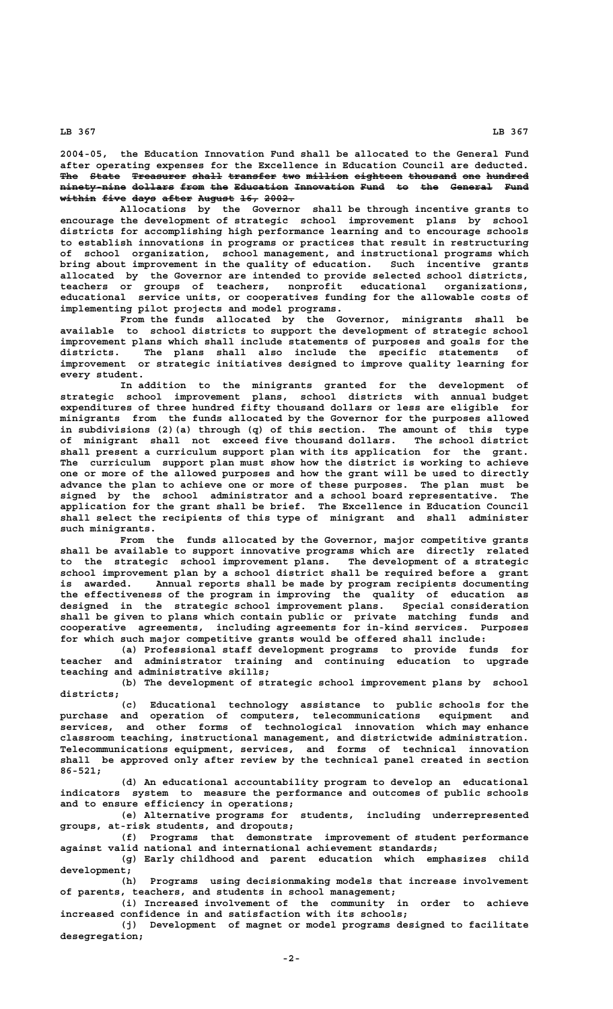**LB 367 LB 367**

**2004-05, the Education Innovation Fund shall be allocated to the General Fund after operating expenses for the Excellence in Education Council are deducted.** The State Treasurer shall transfer two million eighteen thousand one hundred **ninety-nine dollars from the Education Innovation Fund to the General Fund ——————————— ——————— ———— ——— ————————— —————————— ———— —— ——— ——————— ——— within five days after August 16, 2002. —————— ———— ———— ————— —————— ——— —————**

**Allocations by the Governor shall be through incentive grants to encourage the development of strategic school improvement plans by school districts for accomplishing high performance learning and to encourage schools to establish innovations in programs or practices that result in restructuring of school organization, school management, and instructional programs which bring about improvement in the quality of education. Such incentive grants allocated by the Governor are intended to provide selected school districts, teachers or groups of teachers, nonprofit educational organizations, educational service units, or cooperatives funding for the allowable costs of implementing pilot projects and model programs.**

**From the funds allocated by the Governor, minigrants shall be available to school districts to support the development of strategic school improvement plans which shall include statements of purposes and goals for the districts. The plans shall also include the specific statements of improvement or strategic initiatives designed to improve quality learning for every student.**

**In addition to the minigrants granted for the development of strategic school improvement plans, school districts with annual budget expenditures of three hundred fifty thousand dollars or less are eligible for minigrants from the funds allocated by the Governor for the purposes allowed in subdivisions (2)(a) through (q) of this section. The amount of this type of minigrant shall not exceed five thousand dollars. The school district shall present a curriculum support plan with its application for the grant. The curriculum support plan must show how the district is working to achieve one or more of the allowed purposes and how the grant will be used to directly advance the plan to achieve one or more of these purposes. The plan must be signed by the school administrator and a school board representative. The application for the grant shall be brief. The Excellence in Education Council shall select the recipients of this type of minigrant and shall administer such minigrants.**

**From the funds allocated by the Governor, major competitive grants shall be available to support innovative programs which are directly related to the strategic school improvement plans. The development of a strategic school improvement plan by a school district shall be required before a grant is awarded. Annual reports shall be made by program recipients documenting the effectiveness of the program in improving the quality of education as designed in the strategic school improvement plans. Special consideration shall be given to plans which contain public or private matching funds and cooperative agreements, including agreements for in-kind services. Purposes for which such major competitive grants would be offered shall include:**

**(a) Professional staff development programs to provide funds for teacher and administrator training and continuing education to upgrade teaching and administrative skills;**

**(b) The development of strategic school improvement plans by school districts;**

**(c) Educational technology assistance to public schools for the purchase and operation of computers, telecommunications equipment and services, and other forms of technological innovation which may enhance classroom teaching, instructional management, and districtwide administration. Telecommunications equipment, services, and forms of technical innovation shall be approved only after review by the technical panel created in section 86-521;**

**(d) An educational accountability program to develop an educational indicators system to measure the performance and outcomes of public schools and to ensure efficiency in operations;**

**(e) Alternative programs for students, including underrepresented groups, at-risk students, and dropouts;**

**(f) Programs that demonstrate improvement of student performance against valid national and international achievement standards;**

**(g) Early childhood and parent education which emphasizes child development;**

**(h) Programs using decisionmaking models that increase involvement of parents, teachers, and students in school management;**

**(i) Increased involvement of the community in order to achieve increased confidence in and satisfaction with its schools;**

**(j) Development of magnet or model programs designed to facilitate desegregation;**

 **-2-**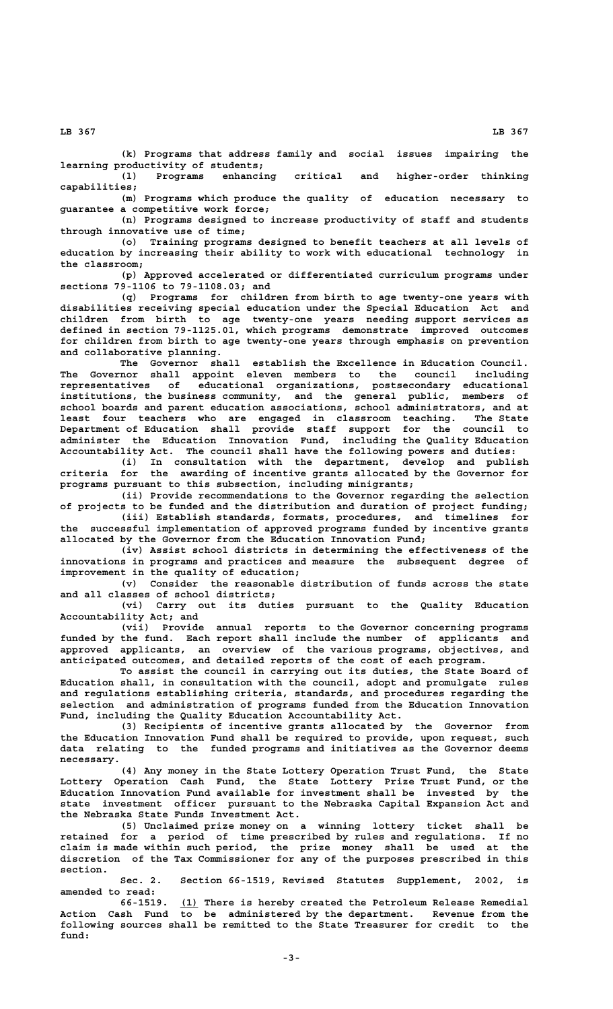**(k) Programs that address family and social issues impairing the learning productivity of students;**

**(l) Programs enhancing critical and higher-order thinking capabilities;**

**(m) Programs which produce the quality of education necessary to guarantee a competitive work force;**

**(n) Programs designed to increase productivity of staff and students through innovative use of time;**

**(o) Training programs designed to benefit teachers at all levels of education by increasing their ability to work with educational technology in the classroom;**

**(p) Approved accelerated or differentiated curriculum programs under sections 79-1106 to 79-1108.03; and**

**(q) Programs for children from birth to age twenty-one years with disabilities receiving special education under the Special Education Act and children from birth to age twenty-one years needing support services as defined in section 79-1125.01, which programs demonstrate improved outcomes for children from birth to age twenty-one years through emphasis on prevention and collaborative planning.**

**The Governor shall establish the Excellence in Education Council. The Governor shall appoint eleven members to the council including representatives of educational organizations, postsecondary educational institutions, the business community, and the general public, members of school boards and parent education associations, school administrators, and at least four teachers who are engaged in classroom teaching. The State Department of Education shall provide staff support for the council to administer the Education Innovation Fund, including the Quality Education Accountability Act. The council shall have the following powers and duties:**

**(i) In consultation with the department, develop and publish criteria for the awarding of incentive grants allocated by the Governor for programs pursuant to this subsection, including minigrants;**

**(ii) Provide recommendations to the Governor regarding the selection of projects to be funded and the distribution and duration of project funding;**

**(iii) Establish standards, formats, procedures, and timelines for the successful implementation of approved programs funded by incentive grants allocated by the Governor from the Education Innovation Fund;**

**(iv) Assist school districts in determining the effectiveness of the innovations in programs and practices and measure the subsequent degree of improvement in the quality of education;**

**(v) Consider the reasonable distribution of funds across the state and all classes of school districts;**

**(vi) Carry out its duties pursuant to the Quality Education Accountability Act; and**

**(vii) Provide annual reports to the Governor concerning programs funded by the fund. Each report shall include the number of applicants and approved applicants, an overview of the various programs, objectives, and anticipated outcomes, and detailed reports of the cost of each program.**

**To assist the council in carrying out its duties, the State Board of Education shall, in consultation with the council, adopt and promulgate rules and regulations establishing criteria, standards, and procedures regarding the selection and administration of programs funded from the Education Innovation Fund, including the Quality Education Accountability Act.**

**(3) Recipients of incentive grants allocated by the Governor from the Education Innovation Fund shall be required to provide, upon request, such data relating to the funded programs and initiatives as the Governor deems necessary.**

**(4) Any money in the State Lottery Operation Trust Fund, the State Lottery Operation Cash Fund, the State Lottery Prize Trust Fund, or the Education Innovation Fund available for investment shall be invested by the state investment officer pursuant to the Nebraska Capital Expansion Act and the Nebraska State Funds Investment Act.**

**(5) Unclaimed prize money on a winning lottery ticket shall be retained for a period of time prescribed by rules and regulations. If no claim is made within such period, the prize money shall be used at the discretion of the Tax Commissioner for any of the purposes prescribed in this section.**

**Sec. 2. Section 66-1519, Revised Statutes Supplement, 2002, is amended to read:**

 **\_\_\_ 66-1519. (1) There is hereby created the Petroleum Release Remedial Action Cash Fund to be administered by the department. Revenue from the following sources shall be remitted to the State Treasurer for credit to the fund:**

 **LB 367 LB 367**